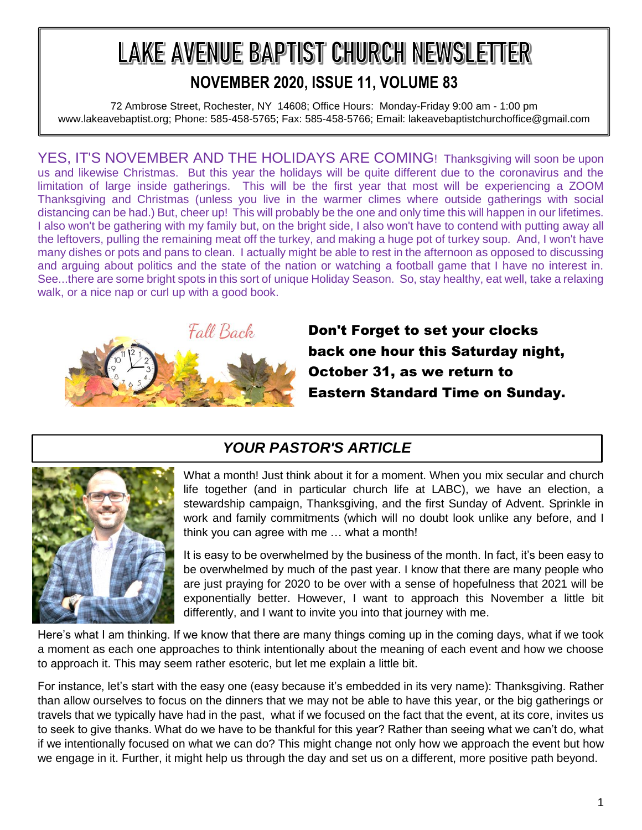# LAKE AVENUE BAPTIST CHURCH NEWSLETTER **NOVEMBER 2020, ISSUE 11, VOLUME 83**

72 Ambrose Street, Rochester, NY 14608; Office Hours: Monday-Friday 9:00 am - 1:00 pm www.lakeavebaptist.org; Phone: 585-458-5765; Fax: 585-458-5766; Email: lakeavebaptistchurchoffice@gmail.com

YES, IT'S NOVEMBER AND THE HOLIDAYS ARE COMING! Thanksgiving will soon be upon us and likewise Christmas. But this year the holidays will be quite different due to the coronavirus and the limitation of large inside gatherings. This will be the first year that most will be experiencing a ZOOM Thanksgiving and Christmas (unless you live in the warmer climes where outside gatherings with social distancing can be had.) But, cheer up! This will probably be the one and only time this will happen in our lifetimes. I also won't be gathering with my family but, on the bright side, I also won't have to contend with putting away all the leftovers, pulling the remaining meat off the turkey, and making a huge pot of turkey soup. And, I won't have many dishes or pots and pans to clean. I actually might be able to rest in the afternoon as opposed to discussing and arguing about politics and the state of the nation or watching a football game that I have no interest in. See...there are some bright spots in this sort of unique Holiday Season. So, stay healthy, eat well, take a relaxing walk, or a nice nap or curl up with a good book.



Don't Forget to set your clocks back one hour this Saturday night, October 31, as we return to Eastern Standard Time on Sunday.

### *YOUR PASTOR'S ARTICLE*



What a month! Just think about it for a moment. When you mix secular and church life together (and in particular church life at LABC), we have an election, a stewardship campaign, Thanksgiving, and the first Sunday of Advent. Sprinkle in work and family commitments (which will no doubt look unlike any before, and I think you can agree with me … what a month!

It is easy to be overwhelmed by the business of the month. In fact, it's been easy to be overwhelmed by much of the past year. I know that there are many people who are just praying for 2020 to be over with a sense of hopefulness that 2021 will be exponentially better. However, I want to approach this November a little bit differently, and I want to invite you into that journey with me.

Here's what I am thinking. If we know that there are many things coming up in the coming days, what if we took a moment as each one approaches to think intentionally about the meaning of each event and how we choose to approach it. This may seem rather esoteric, but let me explain a little bit.

For instance, let's start with the easy one (easy because it's embedded in its very name): Thanksgiving. Rather than allow ourselves to focus on the dinners that we may not be able to have this year, or the big gatherings or travels that we typically have had in the past, what if we focused on the fact that the event, at its core, invites us to seek to give thanks. What do we have to be thankful for this year? Rather than seeing what we can't do, what if we intentionally focused on what we can do? This might change not only how we approach the event but how we engage in it. Further, it might help us through the day and set us on a different, more positive path beyond.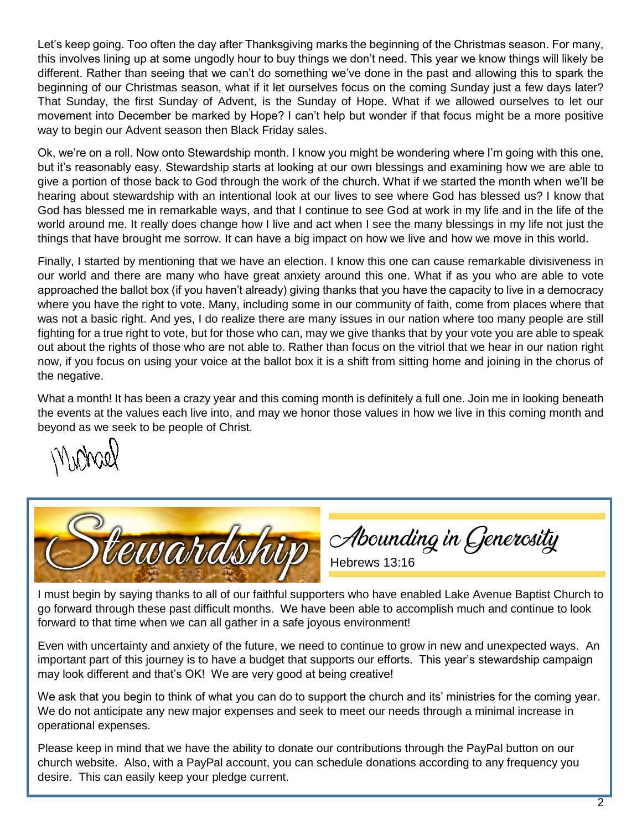Let's keep going. Too often the day after Thanksgiving marks the beginning of the Christmas season. For many, this involves lining up at some ungodly hour to buy things we don't need. This year we know things will likely be different. Rather than seeing that we can't do something we've done in the past and allowing this to spark the beginning of our Christmas season, what if it let ourselves focus on the coming Sunday just a few days later? That Sunday, the first Sunday of Advent, is the Sunday of Hope. What if we allowed ourselves to let our movement into December be marked by Hope? I can't help but wonder if that focus might be a more positive way to begin our Advent season then Black Friday sales.

Ok, we're on a roll. Now onto Stewardship month. I know you might be wondering where I'm going with this one, but it's reasonably easy. Stewardship starts at looking at our own blessings and examining how we are able to give a portion of those back to God through the work of the church. What if we started the month when we'll be hearing about stewardship with an intentional look at our lives to see where God has blessed us? I know that God has blessed me in remarkable ways, and that I continue to see God at work in my life and in the life of the world around me. It really does change how I live and act when I see the many blessings in my life not just the things that have brought me sorrow. It can have a big impact on how we live and how we move in this world.

Finally, I started by mentioning that we have an election. I know this one can cause remarkable divisiveness in our world and there are many who have great anxiety around this one. What if as you who are able to vote approached the ballot box (if you haven't already) giving thanks that you have the capacity to live in a democracy where you have the right to vote. Many, including some in our community of faith, come from places where that was not a basic right. And yes, I do realize there are many issues in our nation where too many people are still fighting for a true right to vote, but for those who can, may we give thanks that by your vote you are able to speak out about the rights of those who are not able to. Rather than focus on the vitriol that we hear in our nation right now, if you focus on using your voice at the ballot box it is a shift from sitting home and joining in the chorus of the negative.

What a month! It has been a crazy year and this coming month is definitely a full one. Join me in looking beneath the events at the values each live into, and may we honor those values in how we live in this coming month and beyond as we seek to be people of Christ.



I must begin by saying thanks to all of our faithful supporters who have enabled Lake Avenue Baptist Church to go forward through these past difficult months. We have been able to accomplish much and continue to look forward to that time when we can all gather in a safe joyous environment!

Even with uncertainty and anxiety of the future, we need to continue to grow in new and unexpected ways. An important part of this journey is to have a budget that supports our efforts. This year's stewardship campaign may look different and that's OK! We are very good at being creative!

We ask that you begin to think of what you can do to support the church and its' ministries for the coming year. We do not anticipate any new major expenses and seek to meet our needs through a minimal increase in operational expenses.

Please keep in mind that we have the ability to donate our contributions through the PayPal button on our church website. Also, with a PayPal account, you can schedule donations according to any frequency you desire. This can easily keep your pledge current.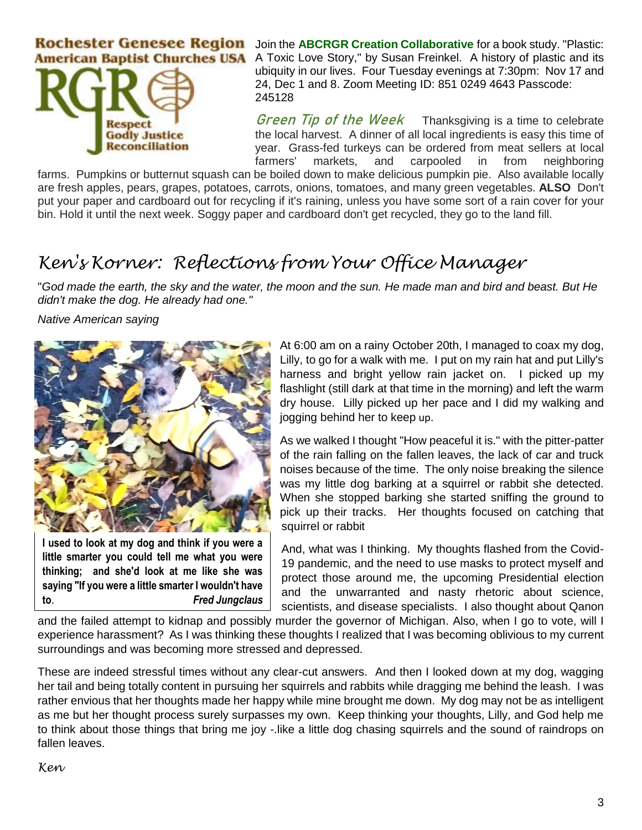**Rochester Genesee Region** Join the **ABCRGR Creation Collaborative** for a book study. "Plastic: **American Baptist Churches USA** 



A Toxic Love Story," by Susan Freinkel. A history of plastic and its ubiquity in our lives. Four Tuesday evenings at 7:30pm: Nov 17 and 24, Dec 1 and 8. Zoom Meeting ID: 851 0249 4643 Passcode: 245128

Green Tip of the WeekThanksgiving is a time to celebrate the local harvest. A dinner of all local ingredients is easy this time of year. Grass-fed turkeys can be ordered from meat sellers at local farmers' markets, and carpooled in from neighboring

farms. Pumpkins or butternut squash can be boiled down to make delicious pumpkin pie. Also available locally are fresh apples, pears, grapes, potatoes, carrots, onions, tomatoes, and many green vegetables. **ALSO** Don't put your paper and cardboard out for recycling if it's raining, unless you have some sort of a rain cover for your bin. Hold it until the next week. Soggy paper and cardboard don't get recycled, they go to the land fill.

## *Ken's Korner: Reflections from Your Office Manager*

"*God made the earth, the sky and the water, the moon and the sun. He made man and bird and beast. But He didn't make the dog. He already had one."*

*Native American saying*



**I used to look at my dog and think if you were a little smarter you could tell me what you were thinking; and she'd look at me like she was saying "If you were a little smarter I wouldn't have to**. *Fred Jungclaus* At 6:00 am on a rainy October 20th, I managed to coax my dog, Lilly, to go for a walk with me. I put on my rain hat and put Lilly's harness and bright yellow rain jacket on. I picked up my flashlight (still dark at that time in the morning) and left the warm dry house. Lilly picked up her pace and I did my walking and jogging behind her to keep up.

As we walked I thought "How peaceful it is." with the pitter-patter of the rain falling on the fallen leaves, the lack of car and truck noises because of the time. The only noise breaking the silence was my little dog barking at a squirrel or rabbit she detected. When she stopped barking she started sniffing the ground to pick up their tracks. Her thoughts focused on catching that squirrel or rabbit

And, what was I thinking. My thoughts flashed from the Covid-19 pandemic, and the need to use masks to protect myself and protect those around me, the upcoming Presidential election and the unwarranted and nasty rhetoric about science, scientists, and disease specialists. I also thought about Qanon

and the failed attempt to kidnap and possibly murder the governor of Michigan. Also, when I go to vote, will I experience harassment? As I was thinking these thoughts I realized that I was becoming oblivious to my current surroundings and was becoming more stressed and depressed.

These are indeed stressful times without any clear-cut answers. And then I looked down at my dog, wagging her tail and being totally content in pursuing her squirrels and rabbits while dragging me behind the leash. I was rather envious that her thoughts made her happy while mine brought me down. My dog may not be as intelligent as me but her thought process surely surpasses my own. Keep thinking your thoughts, Lilly, and God help me to think about those things that bring me joy -.like a little dog chasing squirrels and the sound of raindrops on fallen leaves.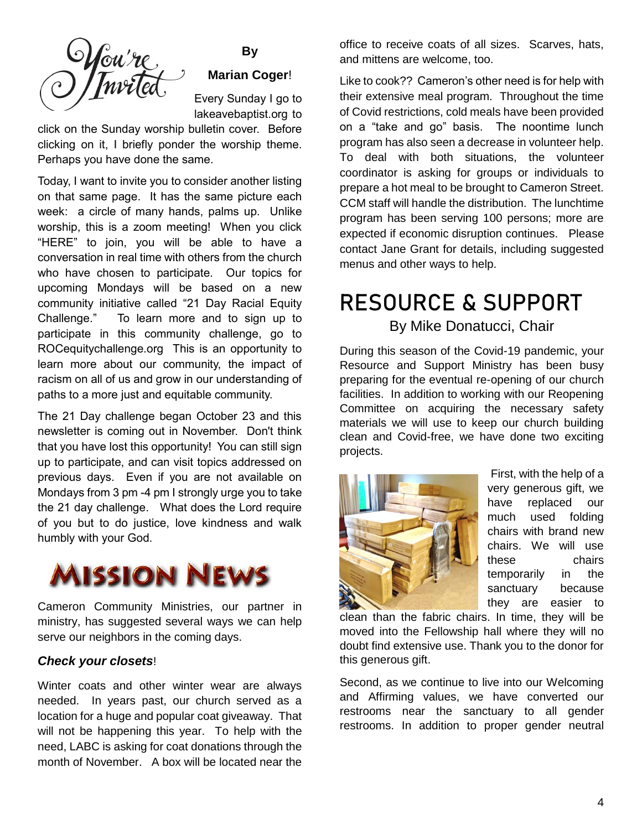

### **By Marian Coger**!

Every Sunday I go to lakeavebaptist.org to

click on the Sunday worship bulletin cover. Before clicking on it, I briefly ponder the worship theme. Perhaps you have done the same.

Today, I want to invite you to consider another listing on that same page. It has the same picture each week: a circle of many hands, palms up. Unlike worship, this is a zoom meeting! When you click "HERE" to join, you will be able to have a conversation in real time with others from the church who have chosen to participate. Our topics for upcoming Mondays will be based on a new community initiative called "21 Day Racial Equity Challenge." To learn more and to sign up to participate in this community challenge, go to ROCequitychallenge.org This is an opportunity to learn more about our community, the impact of racism on all of us and grow in our understanding of paths to a more just and equitable community.

The 21 Day challenge began October 23 and this newsletter is coming out in November. Don't think that you have lost this opportunity! You can still sign up to participate, and can visit topics addressed on previous days. Even if you are not available on Mondays from 3 pm -4 pm I strongly urge you to take the 21 day challenge. What does the Lord require of you but to do justice, love kindness and walk humbly with your God.



Cameron Community Ministries, our partner in ministry, has suggested several ways we can help serve our neighbors in the coming days.

### *Check your closets*!

Winter coats and other winter wear are always needed. In years past, our church served as a location for a huge and popular coat giveaway. That will not be happening this year. To help with the need, LABC is asking for coat donations through the month of November. A box will be located near the

office to receive coats of all sizes. Scarves, hats, and mittens are welcome, too.

Like to cook?? Cameron's other need is for help with their extensive meal program. Throughout the time of Covid restrictions, cold meals have been provided on a "take and go" basis. The noontime lunch program has also seen a decrease in volunteer help. To deal with both situations, the volunteer coordinator is asking for groups or individuals to prepare a hot meal to be brought to Cameron Street. CCM staff will handle the distribution. The lunchtime program has been serving 100 persons; more are expected if economic disruption continues. Please contact Jane Grant for details, including suggested menus and other ways to help.

## RESOURCE & SUPPORT

### By Mike Donatucci, Chair

During this season of the Covid-19 pandemic, your Resource and Support Ministry has been busy preparing for the eventual re-opening of our church facilities. In addition to working with our Reopening Committee on acquiring the necessary safety materials we will use to keep our church building clean and Covid-free, we have done two exciting projects.



First, with the help of a very generous gift, we have replaced our much used folding chairs with brand new chairs. We will use these chairs temporarily in the sanctuary because they are easier to

clean than the fabric chairs. In time, they will be moved into the Fellowship hall where they will no doubt find extensive use. Thank you to the donor for this generous gift.

Second, as we continue to live into our Welcoming and Affirming values, we have converted our restrooms near the sanctuary to all gender restrooms. In addition to proper gender neutral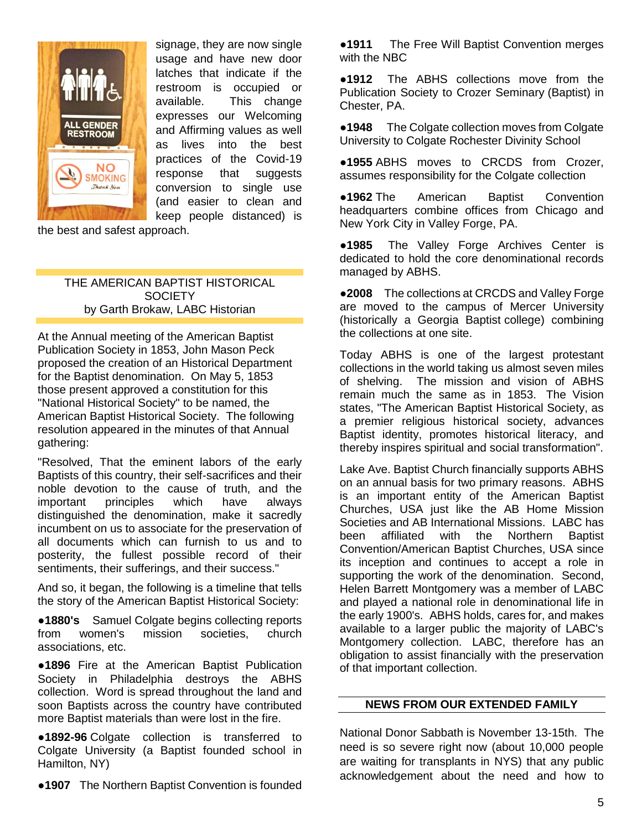

signage, they are now single usage and have new door latches that indicate if the restroom is occupied or available. This change expresses our Welcoming and Affirming values as well as lives into the best practices of the Covid-19 response that suggests conversion to single use (and easier to clean and keep people distanced) is

the best and safest approach.

THE AMERICAN BAPTIST HISTORICAL **SOCIETY** by Garth Brokaw, LABC Historian

At the Annual meeting of the American Baptist Publication Society in 1853, John Mason Peck proposed the creation of an Historical Department for the Baptist denomination. On May 5, 1853 those present approved a constitution for this "National Historical Society" to be named, the American Baptist Historical Society. The following resolution appeared in the minutes of that Annual gathering:

"Resolved, That the eminent labors of the early Baptists of this country, their self-sacrifices and their noble devotion to the cause of truth, and the important principles which have always distinguished the denomination, make it sacredly incumbent on us to associate for the preservation of all documents which can furnish to us and to posterity, the fullest possible record of their sentiments, their sufferings, and their success."

And so, it began, the following is a timeline that tells the story of the American Baptist Historical Society:

●**1880's** Samuel Colgate begins collecting reports from women's mission societies, church associations, etc.

●**1896** Fire at the American Baptist Publication Society in Philadelphia destroys the ABHS collection. Word is spread throughout the land and soon Baptists across the country have contributed more Baptist materials than were lost in the fire.

●**1892-96** Colgate collection is transferred to Colgate University (a Baptist founded school in Hamilton, NY)

●**1907** The Northern Baptist Convention is founded

●**1911** The Free Will Baptist Convention merges with the NBC

●**1912** The ABHS collections move from the Publication Society to Crozer Seminary (Baptist) in Chester, PA.

●**1948** The Colgate collection moves from Colgate University to Colgate Rochester Divinity School

●**1955** ABHS moves to CRCDS from Crozer, assumes responsibility for the Colgate collection

●**1962** The American Baptist Convention headquarters combine offices from Chicago and New York City in Valley Forge, PA.

●**1985** The Valley Forge Archives Center is dedicated to hold the core denominational records managed by ABHS.

●**2008** The collections at CRCDS and Valley Forge are moved to the campus of Mercer University (historically a Georgia Baptist college) combining the collections at one site.

Today ABHS is one of the largest protestant collections in the world taking us almost seven miles of shelving. The mission and vision of ABHS remain much the same as in 1853. The Vision states, "The American Baptist Historical Society, as a premier religious historical society, advances Baptist identity, promotes historical literacy, and thereby inspires spiritual and social transformation".

Lake Ave. Baptist Church financially supports ABHS on an annual basis for two primary reasons. ABHS is an important entity of the American Baptist Churches, USA just like the AB Home Mission Societies and AB International Missions. LABC has been affiliated with the Northern Baptist Convention/American Baptist Churches, USA since its inception and continues to accept a role in supporting the work of the denomination. Second, Helen Barrett Montgomery was a member of LABC and played a national role in denominational life in the early 1900's. ABHS holds, cares for, and makes available to a larger public the majority of LABC's Montgomery collection. LABC, therefore has an obligation to assist financially with the preservation of that important collection.

#### **NEWS FROM OUR EXTENDED FAMILY**

National Donor Sabbath is November 13-15th. The need is so severe right now (about 10,000 people are waiting for transplants in NYS) that any public acknowledgement about the need and how to